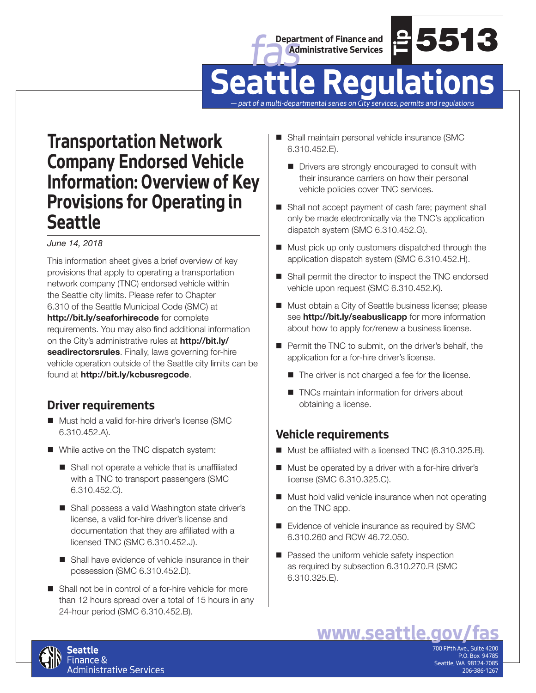



# **example 20**<br> **were the COULLA CONSTANT CONSTANT CONSTANT CONSTANT CONSTANT CONSTANT CONSTANT CONSTANT CONSTANT CONSTANT CONSTANT CONSTANT CONSTANT CONSTANT CONSTANT CONSTANT CONSTANT CONSTANT CONSTANT CONSTANT CONSTANT CO Seattle Regulations**

*— part of a multi-departmental series on City services, permits and regulations*

# **Transportation Network Company Endorsed Vehicle Information: Overview of Key Provisions for Operating in Seattle**

### *June 14, 2018*

This information sheet gives a brief overview of key provisions that apply to operating a transportation network company (TNC) endorsed vehicle within the Seattle city limits. Please refer to Chapter 6.310 of the Seattle Municipal Code (SMC) at **http://bit.ly/seaforhirecode** for complete requirements. You may also find additional information on the City's administrative rules at **http://bit.ly/ seadirectorsrules**. Finally, laws governing for-hire vehicle operation outside of the Seattle city limits can be found at **http://bit.ly/kcbusregcode**.

### **Driver requirements**

- Must hold a valid for-hire driver's license (SMC 6.310.452.A).
- While active on the TNC dispatch system:
	- Shall not operate a vehicle that is unaffiliated with a TNC to transport passengers (SMC 6.310.452.C).
	- Shall possess a valid Washington state driver's license, a valid for-hire driver's license and documentation that they are affiliated with a licensed TNC (SMC 6.310.452.J).
	- Shall have evidence of vehicle insurance in their possession (SMC 6.310.452.D).
- Shall not be in control of a for-hire vehicle for more than 12 hours spread over a total of 15 hours in any 24-hour period (SMC 6.310.452.B).
- Shall maintain personal vehicle insurance (SMC 6.310.452.E).
	- Drivers are strongly encouraged to consult with their insurance carriers on how their personal vehicle policies cover TNC services.
- Shall not accept payment of cash fare; payment shall only be made electronically via the TNC's application dispatch system (SMC 6.310.452.G).
- **Must pick up only customers dispatched through the** application dispatch system (SMC 6.310.452.H).
- Shall permit the director to inspect the TNC endorsed vehicle upon request (SMC 6.310.452.K).
- Must obtain a City of Seattle business license; please see **http://bit.ly/seabuslicapp** for more information about how to apply for/renew a business license.
- **Permit the TNC to submit, on the driver's behalf, the** application for a for-hire driver's license.
	- The driver is not charged a fee for the license.
	- TNCs maintain information for drivers about obtaining a license.

### **Vehicle requirements**

- Must be affiliated with a licensed TNC (6.310.325.B).
- Must be operated by a driver with a for-hire driver's license (SMC 6.310.325.C).
- Must hold valid vehicle insurance when not operating on the TNC app.
- Evidence of vehicle insurance as required by SMC 6.310.260 and RCW 46.72.050.
- Passed the uniform vehicle safety inspection as required by subsection 6.310.270.R (SMC 6.310.325.E).



700 Fifth Ave., Suite 4200 P.O. Box 94785 Seattle, WA 98124-7085 206-386-1267